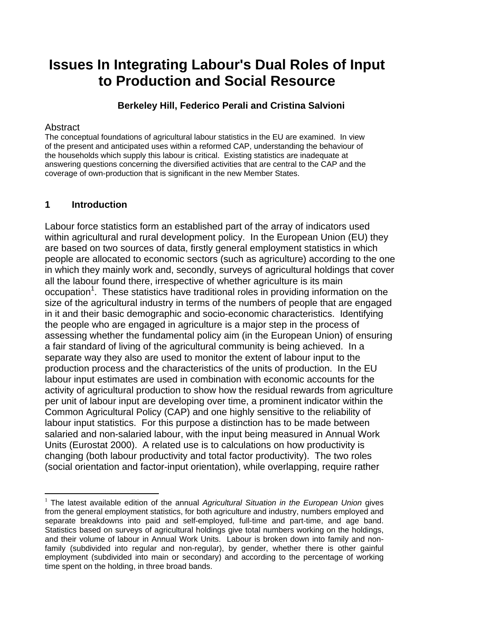# **Issues In Integrating Labour's Dual Roles of Input to Production and Social Resource**

#### **Berkeley Hill, Federico Perali and Cristina Salvioni**

#### **Abstract**

 $\overline{a}$ 

The conceptual foundations of agricultural labour statistics in the EU are examined. In view of the present and anticipated uses within a reformed CAP, understanding the behaviour of the households which supply this labour is critical. Existing statistics are inadequate at answering questions concerning the diversified activities that are central to the CAP and the coverage of own-production that is significant in the new Member States.

### **1 Introduction**

Labour force statistics form an established part of the array of indicators used within agricultural and rural development policy. In the European Union (EU) they are based on two sources of data, firstly general employment statistics in which people are allocated to economic sectors (such as agriculture) according to the one in which they mainly work and, secondly, surveys of agricultural holdings that cover all the labour found there, irrespective of whether agriculture is its main occupation<sup>1</sup>. These statistics have traditional roles in providing information on the size of the agricultural industry in terms of the numbers of people that are engaged in it and their basic demographic and socio-economic characteristics. Identifying the people who are engaged in agriculture is a major step in the process of assessing whether the fundamental policy aim (in the European Union) of ensuring a fair standard of living of the agricultural community is being achieved. In a separate way they also are used to monitor the extent of labour input to the production process and the characteristics of the units of production. In the EU labour input estimates are used in combination with economic accounts for the activity of agricultural production to show how the residual rewards from agriculture per unit of labour input are developing over time, a prominent indicator within the Common Agricultural Policy (CAP) and one highly sensitive to the reliability of labour input statistics. For this purpose a distinction has to be made between salaried and non-salaried labour, with the input being measured in Annual Work Units (Eurostat 2000). A related use is to calculations on how productivity is changing (both labour productivity and total factor productivity). The two roles (social orientation and factor-input orientation), while overlapping, require rather

<sup>1</sup> The latest available edition of the annual *Agricultural Situation in the European Union* gives from the general employment statistics, for both agriculture and industry, numbers employed and separate breakdowns into paid and self-employed, full-time and part-time, and age band. Statistics based on surveys of agricultural holdings give total numbers working on the holdings, and their volume of labour in Annual Work Units. Labour is broken down into family and nonfamily (subdivided into regular and non-regular), by gender, whether there is other gainful employment (subdivided into main or secondary) and according to the percentage of working time spent on the holding, in three broad bands.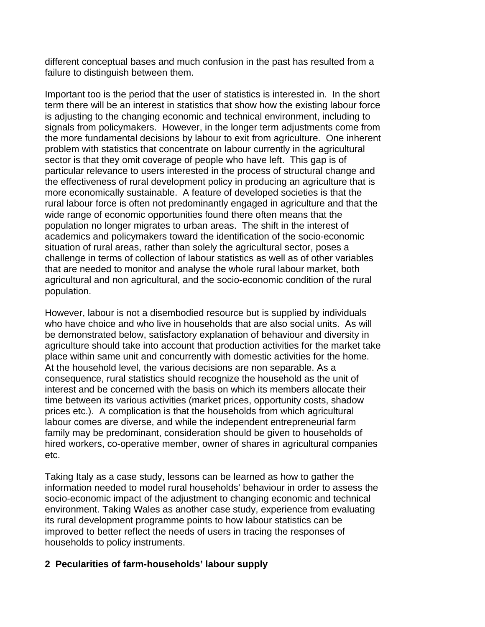different conceptual bases and much confusion in the past has resulted from a failure to distinguish between them.

Important too is the period that the user of statistics is interested in. In the short term there will be an interest in statistics that show how the existing labour force is adjusting to the changing economic and technical environment, including to signals from policymakers. However, in the longer term adjustments come from the more fundamental decisions by labour to exit from agriculture. One inherent problem with statistics that concentrate on labour currently in the agricultural sector is that they omit coverage of people who have left. This gap is of particular relevance to users interested in the process of structural change and the effectiveness of rural development policy in producing an agriculture that is more economically sustainable. A feature of developed societies is that the rural labour force is often not predominantly engaged in agriculture and that the wide range of economic opportunities found there often means that the population no longer migrates to urban areas. The shift in the interest of academics and policymakers toward the identification of the socio-economic situation of rural areas, rather than solely the agricultural sector, poses a challenge in terms of collection of labour statistics as well as of other variables that are needed to monitor and analyse the whole rural labour market, both agricultural and non agricultural, and the socio-economic condition of the rural population.

However, labour is not a disembodied resource but is supplied by individuals who have choice and who live in households that are also social units. As will be demonstrated below, satisfactory explanation of behaviour and diversity in agriculture should take into account that production activities for the market take place within same unit and concurrently with domestic activities for the home. At the household level, the various decisions are non separable. As a consequence, rural statistics should recognize the household as the unit of interest and be concerned with the basis on which its members allocate their time between its various activities (market prices, opportunity costs, shadow prices etc.). A complication is that the households from which agricultural labour comes are diverse, and while the independent entrepreneurial farm family may be predominant, consideration should be given to households of hired workers, co-operative member, owner of shares in agricultural companies etc.

Taking Italy as a case study, lessons can be learned as how to gather the information needed to model rural households' behaviour in order to assess the socio-economic impact of the adjustment to changing economic and technical environment. Taking Wales as another case study, experience from evaluating its rural development programme points to how labour statistics can be improved to better reflect the needs of users in tracing the responses of households to policy instruments.

### **2 Pecularities of farm-households' labour supply**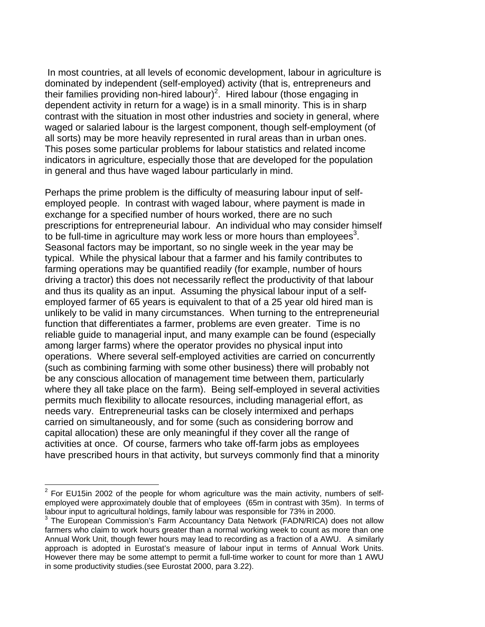In most countries, at all levels of economic development, labour in agriculture is dominated by independent (self-employed) activity (that is, entrepreneurs and their families providing non-hired labour)<sup>2</sup>. Hired labour (those engaging in dependent activity in return for a wage) is in a small minority. This is in sharp contrast with the situation in most other industries and society in general, where waged or salaried labour is the largest component, though self-employment (of all sorts) may be more heavily represented in rural areas than in urban ones. This poses some particular problems for labour statistics and related income indicators in agriculture, especially those that are developed for the population in general and thus have waged labour particularly in mind.

Perhaps the prime problem is the difficulty of measuring labour input of selfemployed people. In contrast with waged labour, where payment is made in exchange for a specified number of hours worked, there are no such prescriptions for entrepreneurial labour. An individual who may consider himself to be full-time in agriculture may work less or more hours than employees<sup>3</sup>. Seasonal factors may be important, so no single week in the year may be typical. While the physical labour that a farmer and his family contributes to farming operations may be quantified readily (for example, number of hours driving a tractor) this does not necessarily reflect the productivity of that labour and thus its quality as an input. Assuming the physical labour input of a selfemployed farmer of 65 years is equivalent to that of a 25 year old hired man is unlikely to be valid in many circumstances. When turning to the entrepreneurial function that differentiates a farmer, problems are even greater. Time is no reliable guide to managerial input, and many example can be found (especially among larger farms) where the operator provides no physical input into operations. Where several self-employed activities are carried on concurrently (such as combining farming with some other business) there will probably not be any conscious allocation of management time between them, particularly where they all take place on the farm). Being self-employed in several activities permits much flexibility to allocate resources, including managerial effort, as needs vary. Entrepreneurial tasks can be closely intermixed and perhaps carried on simultaneously, and for some (such as considering borrow and capital allocation) these are only meaningful if they cover all the range of activities at once. Of course, farmers who take off-farm jobs as employees have prescribed hours in that activity, but surveys commonly find that a minority

 2 For EU15in 2002 of the people for whom agriculture was the main activity, numbers of selfemployed were approximately double that of employees (65m in contrast with 35m). In terms of labour input to agricultural holdings, family labour was responsible for 73% in 2000.

<sup>3</sup> The European Commission's Farm Accountancy Data Network (FADN/RICA) does not allow farmers who claim to work hours greater than a normal working week to count as more than one Annual Work Unit, though fewer hours may lead to recording as a fraction of a AWU. A similarly approach is adopted in Eurostat's measure of labour input in terms of Annual Work Units. However there may be some attempt to permit a full-time worker to count for more than 1 AWU in some productivity studies.(see Eurostat 2000, para 3.22).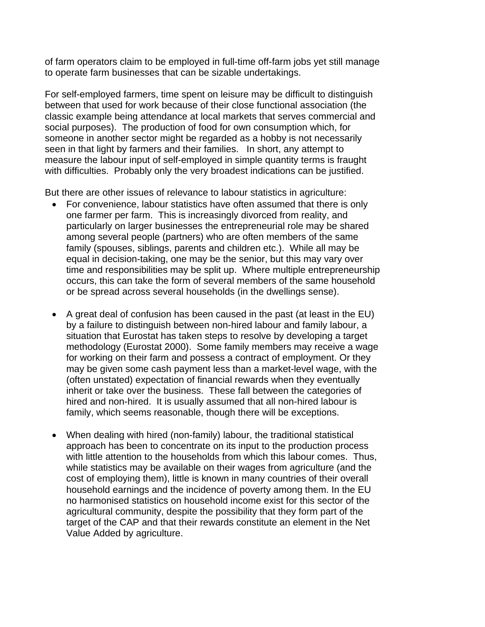of farm operators claim to be employed in full-time off-farm jobs yet still manage to operate farm businesses that can be sizable undertakings.

For self-employed farmers, time spent on leisure may be difficult to distinguish between that used for work because of their close functional association (the classic example being attendance at local markets that serves commercial and social purposes). The production of food for own consumption which, for someone in another sector might be regarded as a hobby is not necessarily seen in that light by farmers and their families. In short, any attempt to measure the labour input of self-employed in simple quantity terms is fraught with difficulties. Probably only the very broadest indications can be justified.

But there are other issues of relevance to labour statistics in agriculture:

- For convenience, labour statistics have often assumed that there is only one farmer per farm. This is increasingly divorced from reality, and particularly on larger businesses the entrepreneurial role may be shared among several people (partners) who are often members of the same family (spouses, siblings, parents and children etc.). While all may be equal in decision-taking, one may be the senior, but this may vary over time and responsibilities may be split up. Where multiple entrepreneurship occurs, this can take the form of several members of the same household or be spread across several households (in the dwellings sense).
- A great deal of confusion has been caused in the past (at least in the EU) by a failure to distinguish between non-hired labour and family labour, a situation that Eurostat has taken steps to resolve by developing a target methodology (Eurostat 2000). Some family members may receive a wage for working on their farm and possess a contract of employment. Or they may be given some cash payment less than a market-level wage, with the (often unstated) expectation of financial rewards when they eventually inherit or take over the business. These fall between the categories of hired and non-hired. It is usually assumed that all non-hired labour is family, which seems reasonable, though there will be exceptions.
- When dealing with hired (non-family) labour, the traditional statistical approach has been to concentrate on its input to the production process with little attention to the households from which this labour comes. Thus, while statistics may be available on their wages from agriculture (and the cost of employing them), little is known in many countries of their overall household earnings and the incidence of poverty among them. In the EU no harmonised statistics on household income exist for this sector of the agricultural community, despite the possibility that they form part of the target of the CAP and that their rewards constitute an element in the Net Value Added by agriculture.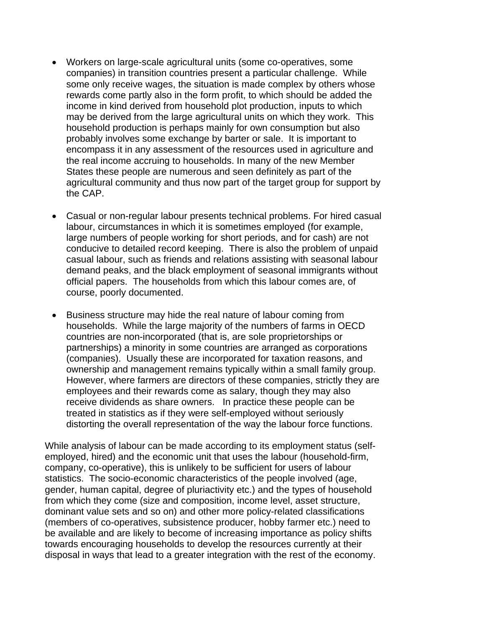- Workers on large-scale agricultural units (some co-operatives, some companies) in transition countries present a particular challenge. While some only receive wages, the situation is made complex by others whose rewards come partly also in the form profit, to which should be added the income in kind derived from household plot production, inputs to which may be derived from the large agricultural units on which they work. This household production is perhaps mainly for own consumption but also probably involves some exchange by barter or sale. It is important to encompass it in any assessment of the resources used in agriculture and the real income accruing to households. In many of the new Member States these people are numerous and seen definitely as part of the agricultural community and thus now part of the target group for support by the CAP.
- Casual or non-regular labour presents technical problems. For hired casual labour, circumstances in which it is sometimes employed (for example, large numbers of people working for short periods, and for cash) are not conducive to detailed record keeping. There is also the problem of unpaid casual labour, such as friends and relations assisting with seasonal labour demand peaks, and the black employment of seasonal immigrants without official papers. The households from which this labour comes are, of course, poorly documented.
- Business structure may hide the real nature of labour coming from households. While the large majority of the numbers of farms in OECD countries are non-incorporated (that is, are sole proprietorships or partnerships) a minority in some countries are arranged as corporations (companies). Usually these are incorporated for taxation reasons, and ownership and management remains typically within a small family group. However, where farmers are directors of these companies, strictly they are employees and their rewards come as salary, though they may also receive dividends as share owners. In practice these people can be treated in statistics as if they were self-employed without seriously distorting the overall representation of the way the labour force functions.

While analysis of labour can be made according to its employment status (selfemployed, hired) and the economic unit that uses the labour (household-firm, company, co-operative), this is unlikely to be sufficient for users of labour statistics. The socio-economic characteristics of the people involved (age, gender, human capital, degree of pluriactivity etc.) and the types of household from which they come (size and composition, income level, asset structure, dominant value sets and so on) and other more policy-related classifications (members of co-operatives, subsistence producer, hobby farmer etc.) need to be available and are likely to become of increasing importance as policy shifts towards encouraging households to develop the resources currently at their disposal in ways that lead to a greater integration with the rest of the economy.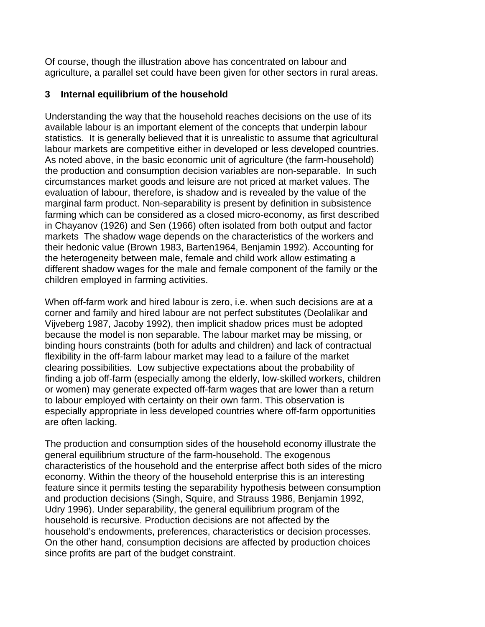Of course, though the illustration above has concentrated on labour and agriculture, a parallel set could have been given for other sectors in rural areas.

# **3 Internal equilibrium of the household**

Understanding the way that the household reaches decisions on the use of its available labour is an important element of the concepts that underpin labour statistics. It is generally believed that it is unrealistic to assume that agricultural labour markets are competitive either in developed or less developed countries. As noted above, in the basic economic unit of agriculture (the farm-household) the production and consumption decision variables are non-separable. In such circumstances market goods and leisure are not priced at market values. The evaluation of labour, therefore, is shadow and is revealed by the value of the marginal farm product. Non-separability is present by definition in subsistence farming which can be considered as a closed micro-economy, as first described in Chayanov (1926) and Sen (1966) often isolated from both output and factor markets The shadow wage depends on the characteristics of the workers and their hedonic value (Brown 1983, Barten1964, Benjamin 1992). Accounting for the heterogeneity between male, female and child work allow estimating a different shadow wages for the male and female component of the family or the children employed in farming activities.

When off-farm work and hired labour is zero, i.e. when such decisions are at a corner and family and hired labour are not perfect substitutes (Deolalikar and Vijveberg 1987, Jacoby 1992), then implicit shadow prices must be adopted because the model is non separable. The labour market may be missing, or binding hours constraints (both for adults and children) and lack of contractual flexibility in the off-farm labour market may lead to a failure of the market clearing possibilities. Low subjective expectations about the probability of finding a job off-farm (especially among the elderly, low-skilled workers, children or women) may generate expected off-farm wages that are lower than a return to labour employed with certainty on their own farm. This observation is especially appropriate in less developed countries where off-farm opportunities are often lacking.

The production and consumption sides of the household economy illustrate the general equilibrium structure of the farm-household. The exogenous characteristics of the household and the enterprise affect both sides of the micro economy. Within the theory of the household enterprise this is an interesting feature since it permits testing the separability hypothesis between consumption and production decisions (Singh, Squire, and Strauss 1986, Benjamin 1992, Udry 1996). Under separability, the general equilibrium program of the household is recursive. Production decisions are not affected by the household's endowments, preferences, characteristics or decision processes. On the other hand, consumption decisions are affected by production choices since profits are part of the budget constraint.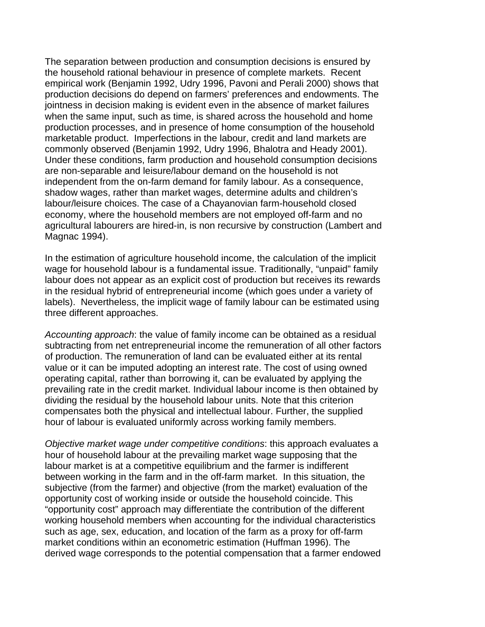The separation between production and consumption decisions is ensured by the household rational behaviour in presence of complete markets. Recent empirical work (Benjamin 1992, Udry 1996, Pavoni and Perali 2000) shows that production decisions do depend on farmers' preferences and endowments. The jointness in decision making is evident even in the absence of market failures when the same input, such as time, is shared across the household and home production processes, and in presence of home consumption of the household marketable product. Imperfections in the labour, credit and land markets are commonly observed (Benjamin 1992, Udry 1996, Bhalotra and Heady 2001). Under these conditions, farm production and household consumption decisions are non-separable and leisure/labour demand on the household is not independent from the on-farm demand for family labour. As a consequence, shadow wages, rather than market wages, determine adults and children's labour/leisure choices. The case of a Chayanovian farm-household closed economy, where the household members are not employed off-farm and no agricultural labourers are hired-in, is non recursive by construction (Lambert and Magnac 1994).

In the estimation of agriculture household income, the calculation of the implicit wage for household labour is a fundamental issue. Traditionally, "unpaid" family labour does not appear as an explicit cost of production but receives its rewards in the residual hybrid of entrepreneurial income (which goes under a variety of labels). Nevertheless, the implicit wage of family labour can be estimated using three different approaches.

*Accounting approach*: the value of family income can be obtained as a residual subtracting from net entrepreneurial income the remuneration of all other factors of production. The remuneration of land can be evaluated either at its rental value or it can be imputed adopting an interest rate. The cost of using owned operating capital, rather than borrowing it, can be evaluated by applying the prevailing rate in the credit market. Individual labour income is then obtained by dividing the residual by the household labour units. Note that this criterion compensates both the physical and intellectual labour. Further, the supplied hour of labour is evaluated uniformly across working family members.

*Objective market wage under competitive conditions*: this approach evaluates a hour of household labour at the prevailing market wage supposing that the labour market is at a competitive equilibrium and the farmer is indifferent between working in the farm and in the off-farm market. In this situation, the subjective (from the farmer) and objective (from the market) evaluation of the opportunity cost of working inside or outside the household coincide. This "opportunity cost" approach may differentiate the contribution of the different working household members when accounting for the individual characteristics such as age, sex, education, and location of the farm as a proxy for off-farm market conditions within an econometric estimation (Huffman 1996). The derived wage corresponds to the potential compensation that a farmer endowed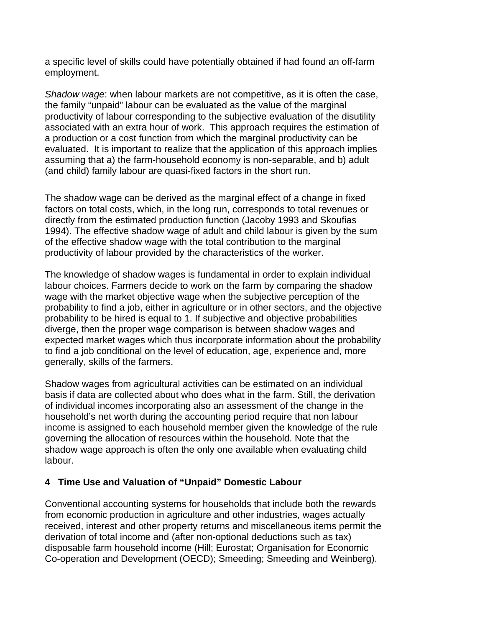a specific level of skills could have potentially obtained if had found an off-farm employment.

*Shadow wage*: when labour markets are not competitive, as it is often the case, the family "unpaid" labour can be evaluated as the value of the marginal productivity of labour corresponding to the subjective evaluation of the disutility associated with an extra hour of work. This approach requires the estimation of a production or a cost function from which the marginal productivity can be evaluated. It is important to realize that the application of this approach implies assuming that a) the farm-household economy is non-separable, and b) adult (and child) family labour are quasi-fixed factors in the short run.

The shadow wage can be derived as the marginal effect of a change in fixed factors on total costs, which, in the long run, corresponds to total revenues or directly from the estimated production function (Jacoby 1993 and Skoufias 1994). The effective shadow wage of adult and child labour is given by the sum of the effective shadow wage with the total contribution to the marginal productivity of labour provided by the characteristics of the worker.

The knowledge of shadow wages is fundamental in order to explain individual labour choices. Farmers decide to work on the farm by comparing the shadow wage with the market objective wage when the subjective perception of the probability to find a job, either in agriculture or in other sectors, and the objective probability to be hired is equal to 1. If subjective and objective probabilities diverge, then the proper wage comparison is between shadow wages and expected market wages which thus incorporate information about the probability to find a job conditional on the level of education, age, experience and, more generally, skills of the farmers.

Shadow wages from agricultural activities can be estimated on an individual basis if data are collected about who does what in the farm. Still, the derivation of individual incomes incorporating also an assessment of the change in the household's net worth during the accounting period require that non labour income is assigned to each household member given the knowledge of the rule governing the allocation of resources within the household. Note that the shadow wage approach is often the only one available when evaluating child labour.

## **4 Time Use and Valuation of "Unpaid" Domestic Labour**

Conventional accounting systems for households that include both the rewards from economic production in agriculture and other industries, wages actually received, interest and other property returns and miscellaneous items permit the derivation of total income and (after non-optional deductions such as tax) disposable farm household income (Hill; Eurostat; Organisation for Economic Co-operation and Development (OECD); Smeeding; Smeeding and Weinberg).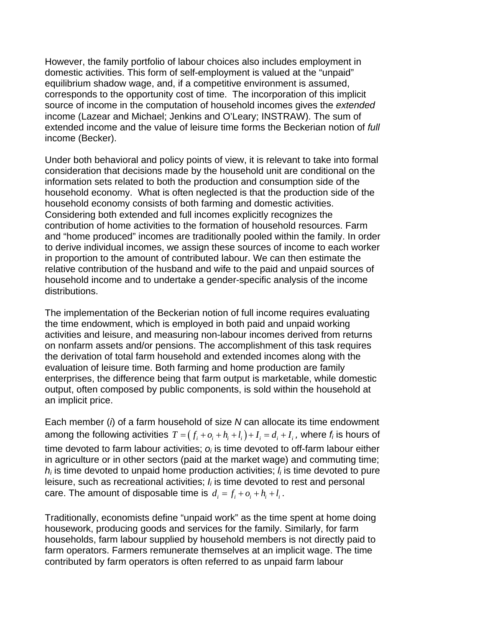However, the family portfolio of labour choices also includes employment in domestic activities. This form of self-employment is valued at the "unpaid" equilibrium shadow wage, and, if a competitive environment is assumed, corresponds to the opportunity cost of time. The incorporation of this implicit source of income in the computation of household incomes gives the *extended* income (Lazear and Michael; Jenkins and O'Leary; INSTRAW). The sum of extended income and the value of leisure time forms the Beckerian notion of *full*  income (Becker).

Under both behavioral and policy points of view, it is relevant to take into formal consideration that decisions made by the household unit are conditional on the information sets related to both the production and consumption side of the household economy. What is often neglected is that the production side of the household economy consists of both farming and domestic activities. Considering both extended and full incomes explicitly recognizes the contribution of home activities to the formation of household resources. Farm and "home produced" incomes are traditionally pooled within the family. In order to derive individual incomes, we assign these sources of income to each worker in proportion to the amount of contributed labour. We can then estimate the relative contribution of the husband and wife to the paid and unpaid sources of household income and to undertake a gender-specific analysis of the income distributions.

The implementation of the Beckerian notion of full income requires evaluating the time endowment, which is employed in both paid and unpaid working activities and leisure, and measuring non-labour incomes derived from returns on nonfarm assets and/or pensions. The accomplishment of this task requires the derivation of total farm household and extended incomes along with the evaluation of leisure time. Both farming and home production are family enterprises, the difference being that farm output is marketable, while domestic output, often composed by public components, is sold within the household at an implicit price.

Each member (*i*) of a farm household of size *N* can allocate its time endowment among the following activities  $T = (f_i + o_i + h_i + l_i) + I_i = d_i + I_i$ , where  $f_i$  is hours of time devoted to farm labour activities;  $o_i$  is time devoted to off-farm labour either in agriculture or in other sectors (paid at the market wage) and commuting time; *hi* is time devoted to unpaid home production activities; *li* is time devoted to pure leisure, such as recreational activities; *Ii* is time devoted to rest and personal care. The amount of disposable time is  $d_i = f_i + o_i + h_i + l_i$ .

Traditionally, economists define "unpaid work" as the time spent at home doing housework, producing goods and services for the family. Similarly, for farm households, farm labour supplied by household members is not directly paid to farm operators. Farmers remunerate themselves at an implicit wage. The time contributed by farm operators is often referred to as unpaid farm labour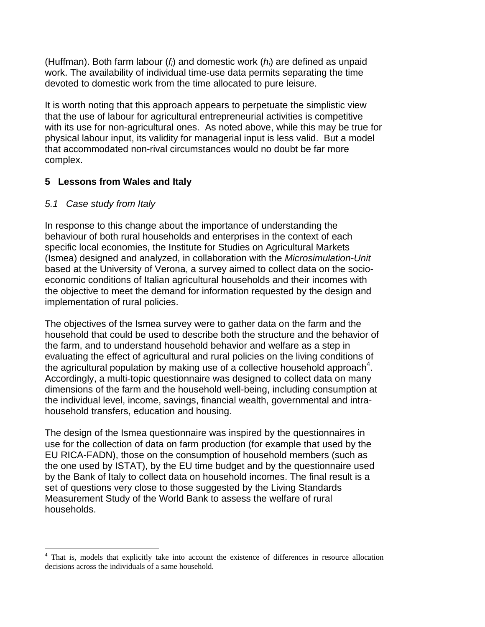(Huffman). Both farm labour (*fi*) and domestic work (*hi*) are defined as unpaid work. The availability of individual time-use data permits separating the time devoted to domestic work from the time allocated to pure leisure.

It is worth noting that this approach appears to perpetuate the simplistic view that the use of labour for agricultural entrepreneurial activities is competitive with its use for non-agricultural ones. As noted above, while this may be true for physical labour input, its validity for managerial input is less valid. But a model that accommodated non-rival circumstances would no doubt be far more complex.

# **5 Lessons from Wales and Italy**

## *5.1 Case study from Italy*

In response to this change about the importance of understanding the behaviour of both rural households and enterprises in the context of each specific local economies, the Institute for Studies on Agricultural Markets (Ismea) designed and analyzed, in collaboration with the *Microsimulation-Unit* based at the University of Verona, a survey aimed to collect data on the socioeconomic conditions of Italian agricultural households and their incomes with the objective to meet the demand for information requested by the design and implementation of rural policies.

The objectives of the Ismea survey were to gather data on the farm and the household that could be used to describe both the structure and the behavior of the farm, and to understand household behavior and welfare as a step in evaluating the effect of agricultural and rural policies on the living conditions of the agricultural population by making use of a collective household approach<sup>4</sup>. Accordingly, a multi-topic questionnaire was designed to collect data on many dimensions of the farm and the household well-being, including consumption at the individual level, income, savings, financial wealth, governmental and intrahousehold transfers, education and housing.

The design of the Ismea questionnaire was inspired by the questionnaires in use for the collection of data on farm production (for example that used by the EU RICA-FADN), those on the consumption of household members (such as the one used by ISTAT), by the EU time budget and by the questionnaire used by the Bank of Italy to collect data on household incomes. The final result is a set of questions very close to those suggested by the Living Standards Measurement Study of the World Bank to assess the welfare of rural households.

 $\overline{a}$ 4 That is, models that explicitly take into account the existence of differences in resource allocation decisions across the individuals of a same household.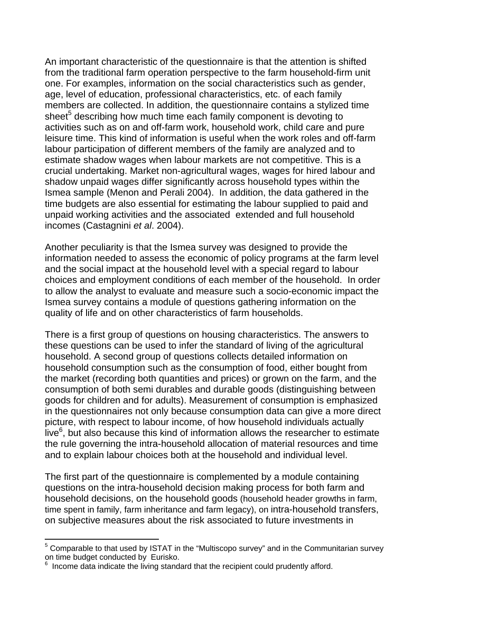An important characteristic of the questionnaire is that the attention is shifted from the traditional farm operation perspective to the farm household-firm unit one. For examples, information on the social characteristics such as gender, age, level of education, professional characteristics, etc. of each family members are collected. In addition, the questionnaire contains a stylized time sheet<sup>5</sup> describing how much time each family component is devoting to activities such as on and off-farm work, household work, child care and pure leisure time. This kind of information is useful when the work roles and off-farm labour participation of different members of the family are analyzed and to estimate shadow wages when labour markets are not competitive. This is a crucial undertaking. Market non-agricultural wages, wages for hired labour and shadow unpaid wages differ significantly across household types within the Ismea sample (Menon and Perali 2004). In addition, the data gathered in the time budgets are also essential for estimating the labour supplied to paid and unpaid working activities and the associated extended and full household incomes (Castagnini *et al*. 2004).

Another peculiarity is that the Ismea survey was designed to provide the information needed to assess the economic of policy programs at the farm level and the social impact at the household level with a special regard to labour choices and employment conditions of each member of the household. In order to allow the analyst to evaluate and measure such a socio-economic impact the Ismea survey contains a module of questions gathering information on the quality of life and on other characteristics of farm households.

There is a first group of questions on housing characteristics. The answers to these questions can be used to infer the standard of living of the agricultural household. A second group of questions collects detailed information on household consumption such as the consumption of food, either bought from the market (recording both quantities and prices) or grown on the farm, and the consumption of both semi durables and durable goods (distinguishing between goods for children and for adults). Measurement of consumption is emphasized in the questionnaires not only because consumption data can give a more direct picture, with respect to labour income, of how household individuals actually  $\rm{live}^6$ , but also because this kind of information allows the researcher to estimate the rule governing the intra-household allocation of material resources and time and to explain labour choices both at the household and individual level.

The first part of the questionnaire is complemented by a module containing questions on the intra-household decision making process for both farm and household decisions, on the household goods (household header growths in farm, time spent in family, farm inheritance and farm legacy), on intra-household transfers, on subjective measures about the risk associated to future investments in

 $\overline{a}$ 

<sup>&</sup>lt;sup>5</sup> Comparable to that used by ISTAT in the "Multiscopo survey" and in the Communitarian survey on time budget conducted by Eurisko.

<sup>6</sup> Income data indicate the living standard that the recipient could prudently afford.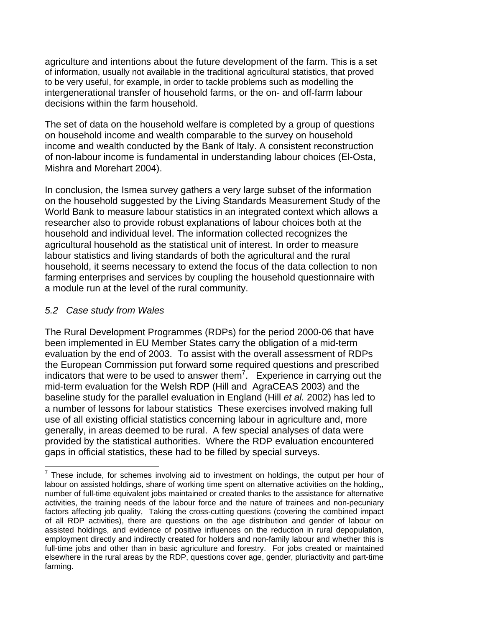agriculture and intentions about the future development of the farm. This is a set of information, usually not available in the traditional agricultural statistics, that proved to be very useful, for example, in order to tackle problems such as modelling the intergenerational transfer of household farms, or the on- and off-farm labour decisions within the farm household.

The set of data on the household welfare is completed by a group of questions on household income and wealth comparable to the survey on household income and wealth conducted by the Bank of Italy. A consistent reconstruction of non-labour income is fundamental in understanding labour choices (El-Osta, Mishra and Morehart 2004).

In conclusion, the Ismea survey gathers a very large subset of the information on the household suggested by the Living Standards Measurement Study of the World Bank to measure labour statistics in an integrated context which allows a researcher also to provide robust explanations of labour choices both at the household and individual level. The information collected recognizes the agricultural household as the statistical unit of interest. In order to measure labour statistics and living standards of both the agricultural and the rural household, it seems necessary to extend the focus of the data collection to non farming enterprises and services by coupling the household questionnaire with a module run at the level of the rural community.

## *5.2 Case study from Wales*

 $\overline{a}$ 

The Rural Development Programmes (RDPs) for the period 2000-06 that have been implemented in EU Member States carry the obligation of a mid-term evaluation by the end of 2003. To assist with the overall assessment of RDPs the European Commission put forward some required questions and prescribed indicators that were to be used to answer them<sup>7</sup>. Experience in carrying out the mid-term evaluation for the Welsh RDP (Hill and AgraCEAS 2003) and the baseline study for the parallel evaluation in England (Hill *et al.* 2002) has led to a number of lessons for labour statistics These exercises involved making full use of all existing official statistics concerning labour in agriculture and, more generally, in areas deemed to be rural. A few special analyses of data were provided by the statistical authorities. Where the RDP evaluation encountered gaps in official statistics, these had to be filled by special surveys.

 $<sup>7</sup>$  These include, for schemes involving aid to investment on holdings, the output per hour of</sup> labour on assisted holdings, share of working time spent on alternative activities on the holding,, number of full-time equivalent jobs maintained or created thanks to the assistance for alternative activities, the training needs of the labour force and the nature of trainees and non-pecuniary factors affecting job quality, Taking the cross-cutting questions (covering the combined impact of all RDP activities), there are questions on the age distribution and gender of labour on assisted holdings, and evidence of positive influences on the reduction in rural depopulation, employment directly and indirectly created for holders and non-family labour and whether this is full-time jobs and other than in basic agriculture and forestry. For jobs created or maintained elsewhere in the rural areas by the RDP, questions cover age, gender, pluriactivity and part-time farming.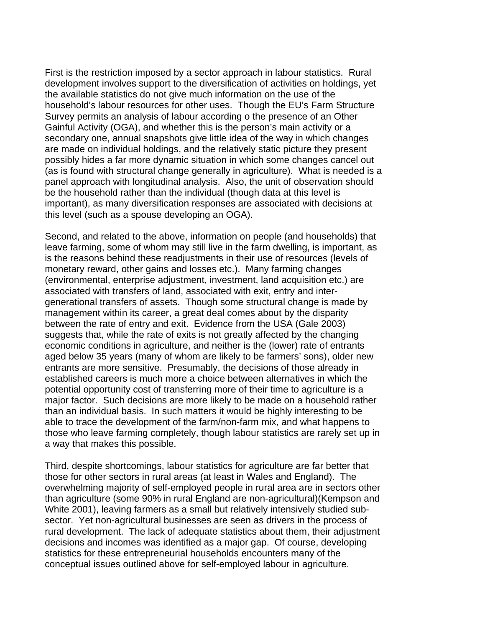First is the restriction imposed by a sector approach in labour statistics. Rural development involves support to the diversification of activities on holdings, yet the available statistics do not give much information on the use of the household's labour resources for other uses. Though the EU's Farm Structure Survey permits an analysis of labour according o the presence of an Other Gainful Activity (OGA), and whether this is the person's main activity or a secondary one, annual snapshots give little idea of the way in which changes are made on individual holdings, and the relatively static picture they present possibly hides a far more dynamic situation in which some changes cancel out (as is found with structural change generally in agriculture). What is needed is a panel approach with longitudinal analysis. Also, the unit of observation should be the household rather than the individual (though data at this level is important), as many diversification responses are associated with decisions at this level (such as a spouse developing an OGA).

Second, and related to the above, information on people (and households) that leave farming, some of whom may still live in the farm dwelling, is important, as is the reasons behind these readjustments in their use of resources (levels of monetary reward, other gains and losses etc.). Many farming changes (environmental, enterprise adjustment, investment, land acquisition etc.) are associated with transfers of land, associated with exit, entry and intergenerational transfers of assets. Though some structural change is made by management within its career, a great deal comes about by the disparity between the rate of entry and exit. Evidence from the USA (Gale 2003) suggests that, while the rate of exits is not greatly affected by the changing economic conditions in agriculture, and neither is the (lower) rate of entrants aged below 35 years (many of whom are likely to be farmers' sons), older new entrants are more sensitive. Presumably, the decisions of those already in established careers is much more a choice between alternatives in which the potential opportunity cost of transferring more of their time to agriculture is a major factor. Such decisions are more likely to be made on a household rather than an individual basis. In such matters it would be highly interesting to be able to trace the development of the farm/non-farm mix, and what happens to those who leave farming completely, though labour statistics are rarely set up in a way that makes this possible.

Third, despite shortcomings, labour statistics for agriculture are far better that those for other sectors in rural areas (at least in Wales and England). The overwhelming majority of self-employed people in rural area are in sectors other than agriculture (some 90% in rural England are non-agricultural)(Kempson and White 2001), leaving farmers as a small but relatively intensively studied subsector. Yet non-agricultural businesses are seen as drivers in the process of rural development. The lack of adequate statistics about them, their adjustment decisions and incomes was identified as a major gap. Of course, developing statistics for these entrepreneurial households encounters many of the conceptual issues outlined above for self-employed labour in agriculture.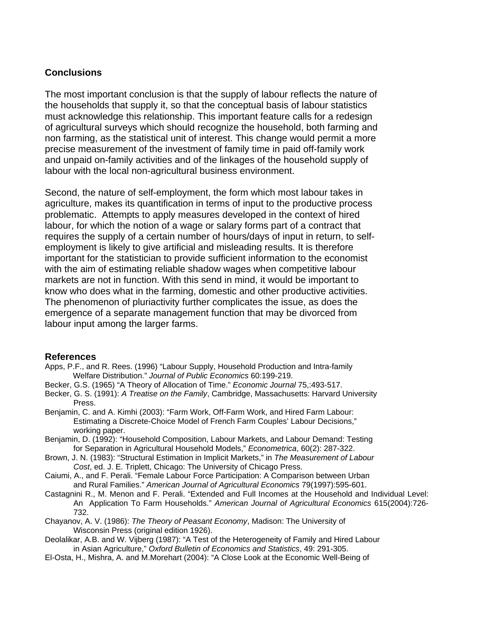#### **Conclusions**

The most important conclusion is that the supply of labour reflects the nature of the households that supply it, so that the conceptual basis of labour statistics must acknowledge this relationship. This important feature calls for a redesign of agricultural surveys which should recognize the household, both farming and non farming, as the statistical unit of interest. This change would permit a more precise measurement of the investment of family time in paid off-family work and unpaid on-family activities and of the linkages of the household supply of labour with the local non-agricultural business environment.

Second, the nature of self-employment, the form which most labour takes in agriculture, makes its quantification in terms of input to the productive process problematic. Attempts to apply measures developed in the context of hired labour, for which the notion of a wage or salary forms part of a contract that requires the supply of a certain number of hours/days of input in return, to selfemployment is likely to give artificial and misleading results. It is therefore important for the statistician to provide sufficient information to the economist with the aim of estimating reliable shadow wages when competitive labour markets are not in function. With this send in mind, it would be important to know who does what in the farming, domestic and other productive activities. The phenomenon of pluriactivity further complicates the issue, as does the emergence of a separate management function that may be divorced from labour input among the larger farms.

#### **References**

- Apps, P.F., and R. Rees. (1996) "Labour Supply, Household Production and Intra-family Welfare Distribution." *Journal of Public Economics* 60:199-219.
- Becker, G.S. (1965) "A Theory of Allocation of Time." *Economic Journal* 75,:493-517.
- Becker, G. S. (1991): *A Treatise on the Family*, Cambridge, Massachusetts: Harvard University Press.
- Benjamin, C. and A. Kimhi (2003): "Farm Work, Off-Farm Work, and Hired Farm Labour: Estimating a Discrete-Choice Model of French Farm Couples' Labour Decisions," working paper.
- Benjamin, D. (1992): "Household Composition, Labour Markets, and Labour Demand: Testing for Separation in Agricultural Household Models," *Econometrica*, 60(2): 287-322.
- Brown, J. N. (1983): "Structural Estimation in Implicit Markets," in *The Measurement of Labour Cost*, ed. J. E. Triplett, Chicago: The University of Chicago Press.
- Caiumi, A., and F. Perali. "Female Labour Force Participation: A Comparison between Urban and Rural Families." *American Journal of Agricultural Economics* 79(1997):595-601.
- Castagnini R., M. Menon and F. Perali. "Extended and Full Incomes at the Household and Individual Level: An Application To Farm Households." *American Journal of Agricultural Economics* 615(2004):726- 732.
- Chayanov, A. V. (1986): *The Theory of Peasant Economy*, Madison: The University of Wisconsin Press (original edition 1926).
- Deolalikar, A.B. and W. Vijberg (1987): "A Test of the Heterogeneity of Family and Hired Labour in Asian Agriculture," *Oxford Bulletin of Economics and Statistics*, 49: 291-305.
- El-Osta, H., Mishra, A. and M.Morehart (2004): "A Close Look at the Economic Well-Being of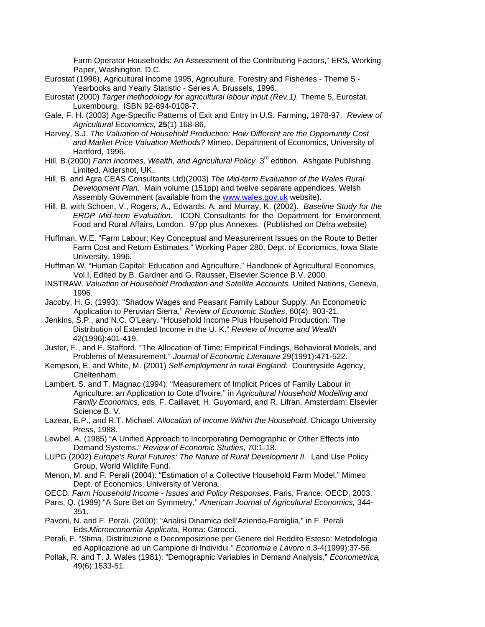Farm Operator Households: An Assessment of the Contributing Factors," ERS, Working Paper, Washington, D.C.

- Eurostat (1996), Agricultural Income 1995, Agriculture, Forestry and Fisheries Theme 5 Yearbooks and Yearly Statistic - Series A, Brussels, 1996.
- Eurostat (2000) *Target methodology for agricultural labour input (Rev.1).* Theme 5, Eurostat, Luxembourg. ISBN 92-894-0108-7.
- Gale, F. H. (2003) Age-Specific Patterns of Exit and Entry in U.S. Farming, 1978-97. *Review of Agricultural Economics,* **25**(1) 168-86,
- Harvey, S.J. *The Valuation of Household Production: How Different are the Opportunity Cost and Market Price Valuation Methods?* Mimeo, Department of Economics, University of Hartford, 1996.
- Hill, B.(2000) *Farm Incomes, Wealth, and Agricultural Policy.* 3<sup>rd</sup> edtition. Ashgate Publishing Limited, Aldershot, UK..
- Hill, B. and Agra CEAS Consultants Ltd)(2003) *The Mid-term Evaluation of the Wales Rural Development Plan.* Main volume (151pp) and twelve separate appendices. Welsh Assembly Government (available from the www.wales.gov.uk website).
- Hill, B. with Schoen, V., Rogers, A., Edwards, A. and Murray, K. (2002). *Baseline Study for the ERDP Mid-term Evaluation***.** ICON Consultants for the Department for Environment, Food and Rural Affairs, London. 97pp plus Annexes. (Publiished on Defra website)
- Huffman, W.E. "Farm Labour: Key Conceptual and Measurement Issues on the Route to Better Farm Cost and Return Estimates*.*" Working Paper 280, Dept. of Economics, Iowa State University, 1996.
- Huffman W. "Human Capital: Education and Agriculture," Handbook of Agricultural Economics, Vol.I, Edited by B. Gardner and G. Rausser, Elsevier Science B.V, 2000.
- INSTRAW. *Valuation of Household Production and Satellite Accounts.* United Nations, Geneva, 1996.
- Jacoby, H. G. (1993): "Shadow Wages and Peasant Family Labour Supply: An Econometric Application to Peruvian Sierra," *Review of Economic Studies*, 60(4): 903-21.
- Jenkins, S.P., and N.C. O'Leary. "Household Income Plus Household Production: The Distribution of Extended Income in the U. K." *Review of Income and Wealth* 42(1996):401-419.
- Juster, F., and F. Stafford. "The Allocation of Time: Empirical Findings, Behavioral Models, and Problems of Measurement." *Journal of Economic Literature* 29(1991):471-522.
- Kempson, E. and White, M. (2001) *Self-employment in rural England.* Countryside Agency, Cheltenham.
- Lambert, S. and T. Magnac (1994): "Measurement of Implicit Prices of Family Labour in Agriculture: an Application to Cote d'Ivoire," in *Agricultural Household Modelling and Family Economics*, eds. F. Caillavet, H. Guyomard, and R. Lifran, Amsterdam: Elsevier Science B. V.
- Lazear, E.P., and R.T. Michael. *Allocation of Income Within the Household*. Chicago University Press, 1988.
- Lewbel, A. (1985) "A Unified Approach to Incorporating Demographic or Other Effects into Demand Systems," *Review of Economic Studies*, 70:1-18.
- LUPG (2002) *Europe's Rural Futures: The Nature of Rural Development II.* Land Use Policy Group, World Wildlife Fund.
- Menon, M. and F. Perali (2004): "Estimation of a Collective Household Farm Model," Mimeo Dept. of Economics, University of Verona.
- OECD. *Farm Household Income Issues and Policy Responses*. Paris, France: OECD, 2003.
- Paris, Q. (1989) "A Sure Bet on Symmetry," *American Journal of Agricultural Economics,* 344- 351.
- Pavoni, N. and F. Perali. (2000): "Analisi Dinamica dell'Azienda-Famiglia," in F. Perali Eds.*Microeconomia Applicata*, Roma: Carocci.
- Perali, F. "Stima, Distribuzione e Decomposizione per Genere del Reddito Esteso: Metodologia ed Applicazione ad un Campione di Individui." *Economia e Lavoro* n.3-4(1999):37-56.
- Pollak, R. and T. J. Wales (1981): "Demographic Variables in Demand Analysis," *Econometrica,* 49(6):1533-51.